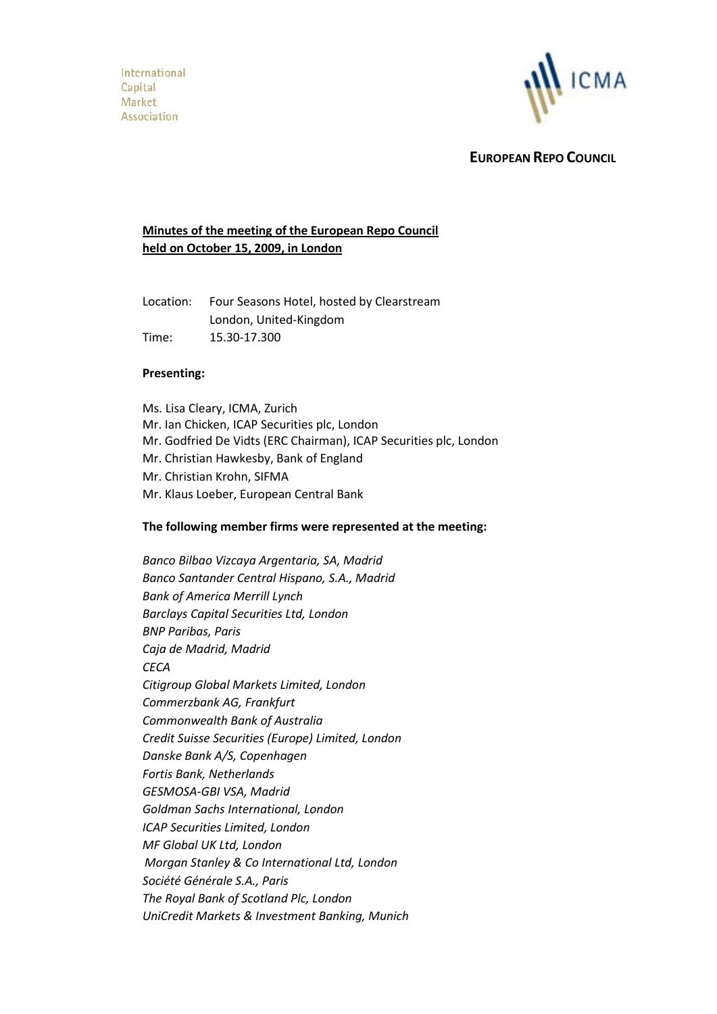

 **EUROPEAN REPO COUNCIL**

# **Minutes of the meeting of the European Repo Council held on October 15, 2009, in London**

Location: Four Seasons Hotel, hosted by Clearstream London, United-Kingdom Time: 15.30-17.300

### **Presenting:**

Ms. Lisa Cleary, ICMA, Zurich Mr. Ian Chicken, ICAP Securities plc, London Mr. Godfried De Vidts (ERC Chairman), ICAP Securities plc, London Mr. Christian Hawkesby, Bank of England Mr. Christian Krohn, SIFMA Mr. Klaus Loeber, European Central Bank

#### **The following member firms were represented at the meeting:**

*Banco Bilbao Vizcaya Argentaria, SA, Madrid Banco Santander Central Hispano, S.A., Madrid Bank of America Merrill Lynch Barclays Capital Securities Ltd, London BNP Paribas, Paris Caja de Madrid, Madrid CECA Citigroup Global Markets Limited, London Commerzbank AG, Frankfurt Commonwealth Bank of Australia Credit Suisse Securities (Europe) Limited, London Danske Bank A/S, Copenhagen Fortis Bank, Netherlands GESMOSA-GBI VSA, Madrid Goldman Sachs International, London ICAP Securities Limited, London MF Global UK Ltd, London Morgan Stanley & Co International Ltd, London Société Générale S.A., Paris The Royal Bank of Scotland Plc, London UniCredit Markets & Investment Banking, Munich*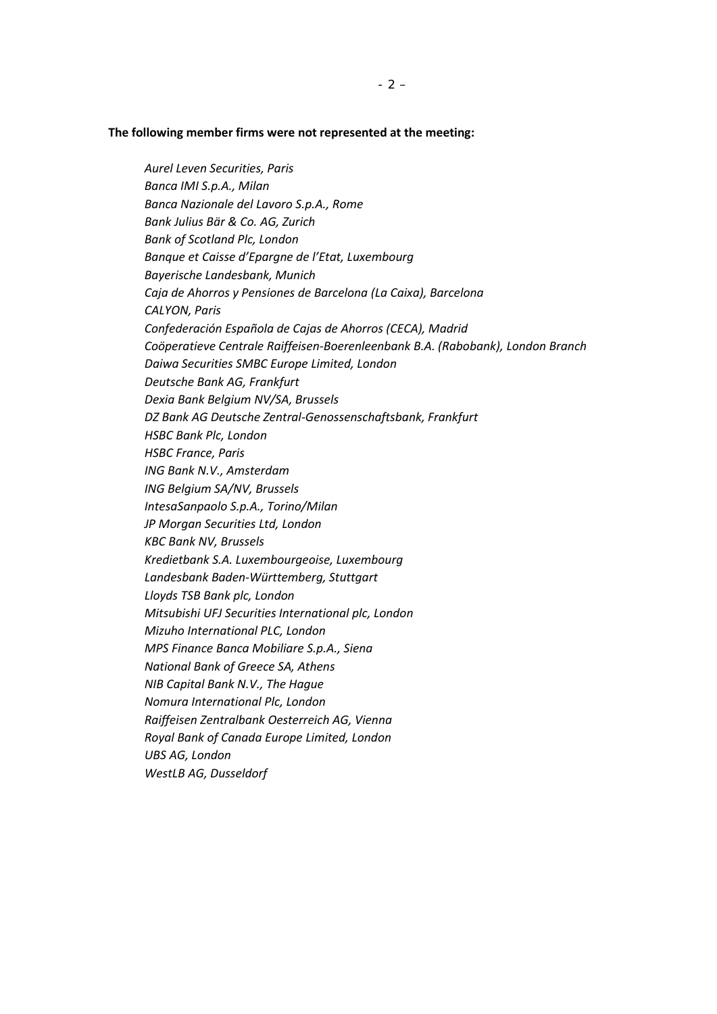#### **The following member firms were not represented at the meeting:**

*Aurel Leven Securities, Paris Banca IMI S.p.A., Milan Banca Nazionale del Lavoro S.p.A., Rome Bank Julius Bär & Co. AG, Zurich Bank of Scotland Plc, London Banque et Caisse d'Epargne de l'Etat, Luxembourg Bayerische Landesbank, Munich Caja de Ahorros y Pensiones de Barcelona (La Caixa), Barcelona CALYON, Paris Confederación Española de Cajas de Ahorros (CECA), Madrid Coöperatieve Centrale Raiffeisen-Boerenleenbank B.A. (Rabobank), London Branch Daiwa Securities SMBC Europe Limited, London Deutsche Bank AG, Frankfurt Dexia Bank Belgium NV/SA, Brussels DZ Bank AG Deutsche Zentral-Genossenschaftsbank, Frankfurt HSBC Bank Plc, London HSBC France, Paris ING Bank N.V., Amsterdam ING Belgium SA/NV, Brussels IntesaSanpaolo S.p.A., Torino/Milan JP Morgan Securities Ltd, London KBC Bank NV, Brussels Kredietbank S.A. Luxembourgeoise, Luxembourg Landesbank Baden-Württemberg, Stuttgart Lloyds TSB Bank plc, London Mitsubishi UFJ Securities International plc, London Mizuho International PLC, London MPS Finance Banca Mobiliare S.p.A., Siena National Bank of Greece SA, Athens NIB Capital Bank N.V., The Hague Nomura International Plc, London Raiffeisen Zentralbank Oesterreich AG, Vienna Royal Bank of Canada Europe Limited, London UBS AG, London WestLB AG, Dusseldorf*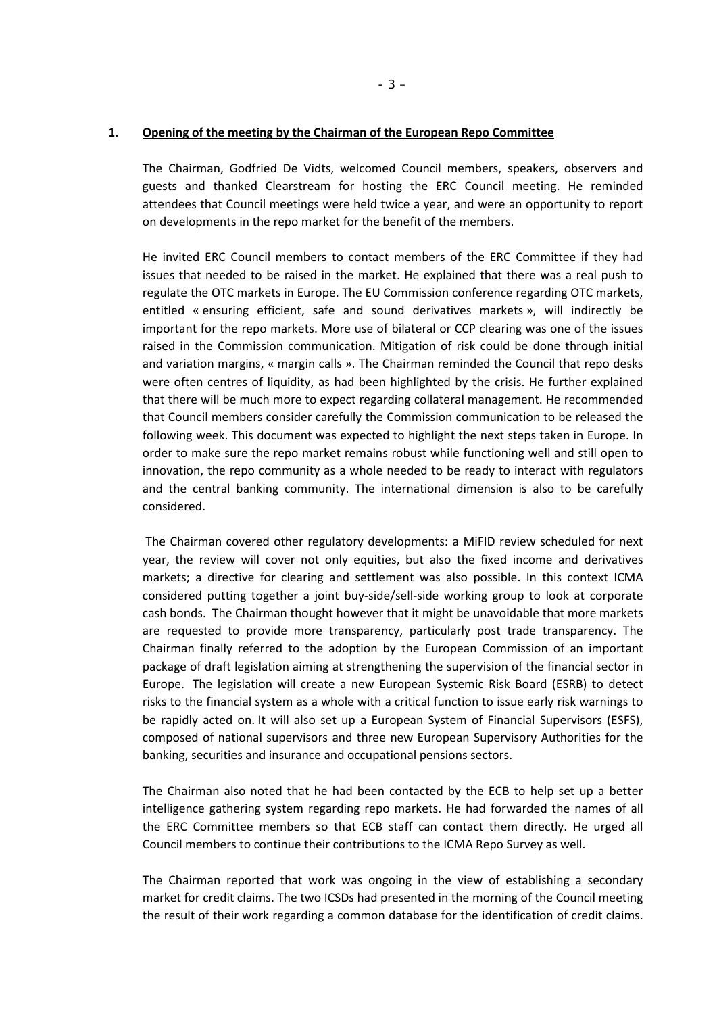### **1. Opening of the meeting by the Chairman of the European Repo Committee**

The Chairman, Godfried De Vidts, welcomed Council members, speakers, observers and guests and thanked Clearstream for hosting the ERC Council meeting. He reminded attendees that Council meetings were held twice a year, and were an opportunity to report on developments in the repo market for the benefit of the members.

He invited ERC Council members to contact members of the ERC Committee if they had issues that needed to be raised in the market. He explained that there was a real push to regulate the OTC markets in Europe. The EU Commission conference regarding OTC markets, entitled « ensuring efficient, safe and sound derivatives markets », will indirectly be important for the repo markets. More use of bilateral or CCP clearing was one of the issues raised in the Commission communication. Mitigation of risk could be done through initial and variation margins, « margin calls ». The Chairman reminded the Council that repo desks were often centres of liquidity, as had been highlighted by the crisis. He further explained that there will be much more to expect regarding collateral management. He recommended that Council members consider carefully the Commission communication to be released the following week. This document was expected to highlight the next steps taken in Europe. In order to make sure the repo market remains robust while functioning well and still open to innovation, the repo community as a whole needed to be ready to interact with regulators and the central banking community. The international dimension is also to be carefully considered.

The Chairman covered other regulatory developments: a MiFID review scheduled for next year, the review will cover not only equities, but also the fixed income and derivatives markets; a directive for clearing and settlement was also possible. In this context ICMA considered putting together a joint buy-side/sell-side working group to look at corporate cash bonds. The Chairman thought however that it might be unavoidable that more markets are requested to provide more transparency, particularly post trade transparency. The Chairman finally referred to the adoption by the European Commission of an important package of draft legislation aiming at strengthening the supervision of the financial sector in Europe. The legislation will create a new European Systemic Risk Board (ESRB) to detect risks to the financial system as a whole with a critical function to issue early risk warnings to be rapidly acted on. It will also set up a European System of Financial Supervisors (ESFS), composed of national supervisors and three new European Supervisory Authorities for the banking, securities and insurance and occupational pensions sectors.

The Chairman also noted that he had been contacted by the ECB to help set up a better intelligence gathering system regarding repo markets. He had forwarded the names of all the ERC Committee members so that ECB staff can contact them directly. He urged all Council members to continue their contributions to the ICMA Repo Survey as well.

The Chairman reported that work was ongoing in the view of establishing a secondary market for credit claims. The two ICSDs had presented in the morning of the Council meeting the result of their work regarding a common database for the identification of credit claims.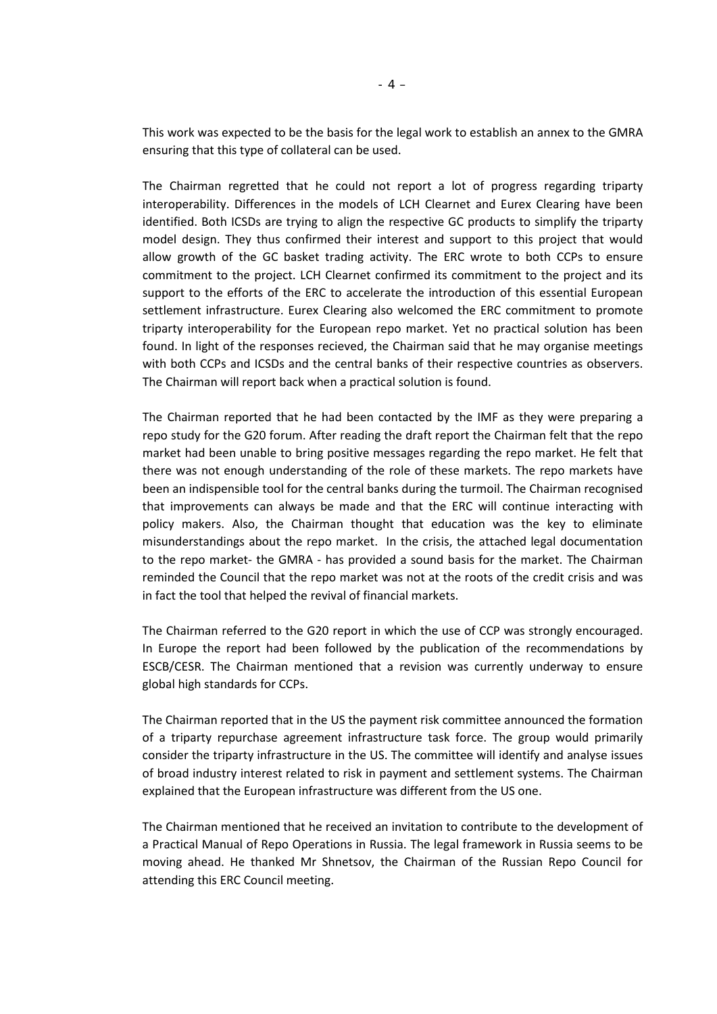This work was expected to be the basis for the legal work to establish an annex to the GMRA ensuring that this type of collateral can be used.

The Chairman regretted that he could not report a lot of progress regarding triparty interoperability. Differences in the models of LCH Clearnet and Eurex Clearing have been identified. Both ICSDs are trying to align the respective GC products to simplify the triparty model design. They thus confirmed their interest and support to this project that would allow growth of the GC basket trading activity. The ERC wrote to both CCPs to ensure commitment to the project. LCH Clearnet confirmed its commitment to the project and its support to the efforts of the ERC to accelerate the introduction of this essential European settlement infrastructure. Eurex Clearing also welcomed the ERC commitment to promote triparty interoperability for the European repo market. Yet no practical solution has been found. In light of the responses recieved, the Chairman said that he may organise meetings with both CCPs and ICSDs and the central banks of their respective countries as observers. The Chairman will report back when a practical solution is found.

The Chairman reported that he had been contacted by the IMF as they were preparing a repo study for the G20 forum. After reading the draft report the Chairman felt that the repo market had been unable to bring positive messages regarding the repo market. He felt that there was not enough understanding of the role of these markets. The repo markets have been an indispensible tool for the central banks during the turmoil. The Chairman recognised that improvements can always be made and that the ERC will continue interacting with policy makers. Also, the Chairman thought that education was the key to eliminate misunderstandings about the repo market. In the crisis, the attached legal documentation to the repo market- the GMRA - has provided a sound basis for the market. The Chairman reminded the Council that the repo market was not at the roots of the credit crisis and was in fact the tool that helped the revival of financial markets.

The Chairman referred to the G20 report in which the use of CCP was strongly encouraged. In Europe the report had been followed by the publication of the recommendations by ESCB/CESR. The Chairman mentioned that a revision was currently underway to ensure global high standards for CCPs.

The Chairman reported that in the US the payment risk committee announced the formation of a triparty repurchase agreement infrastructure task force. The group would primarily consider the triparty infrastructure in the US. The committee will identify and analyse issues of broad industry interest related to risk in payment and settlement systems. The Chairman explained that the European infrastructure was different from the US one.

The Chairman mentioned that he received an invitation to contribute to the development of a Practical Manual of Repo Operations in Russia. The legal framework in Russia seems to be moving ahead. He thanked Mr Shnetsov, the Chairman of the Russian Repo Council for attending this ERC Council meeting.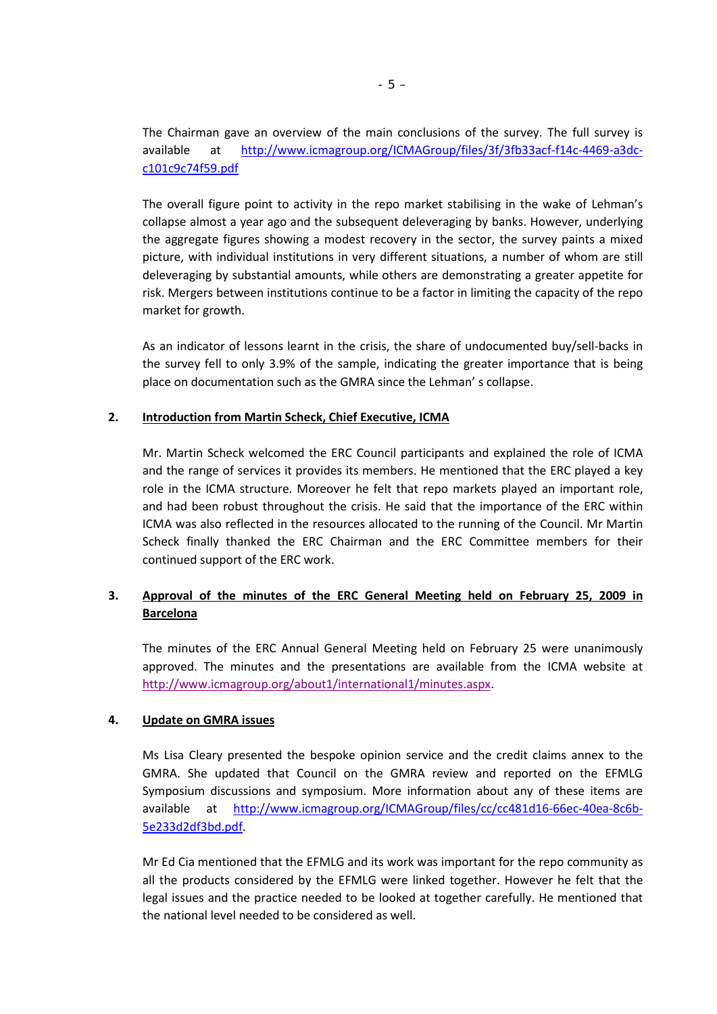The Chairman gave an overview of the main conclusions of the survey. The full survey is available at [http://www.icmagroup.org/ICMAGroup/files/3f/3fb33acf-f14c-4469-a3dc](http://www.icmagroup.org/ICMAGroup/files/3f/3fb33acf-f14c-4469-a3dc-c101c9c74f59.pdf)[c101c9c74f59.pdf](http://www.icmagroup.org/ICMAGroup/files/3f/3fb33acf-f14c-4469-a3dc-c101c9c74f59.pdf)

The overall figure point to activity in the repo market stabilising in the wake of Lehman's collapse almost a year ago and the subsequent deleveraging by banks. However, underlying the aggregate figures showing a modest recovery in the sector, the survey paints a mixed picture, with individual institutions in very different situations, a number of whom are still deleveraging by substantial amounts, while others are demonstrating a greater appetite for risk. Mergers between institutions continue to be a factor in limiting the capacity of the repo market for growth.

As an indicator of lessons learnt in the crisis, the share of undocumented buy/sell-backs in the survey fell to only 3.9% of the sample, indicating the greater importance that is being place on documentation such as the GMRA since the Lehman' s collapse.

### **2. Introduction from Martin Scheck, Chief Executive, ICMA**

Mr. Martin Scheck welcomed the ERC Council participants and explained the role of ICMA and the range of services it provides its members. He mentioned that the ERC played a key role in the ICMA structure. Moreover he felt that repo markets played an important role, and had been robust throughout the crisis. He said that the importance of the ERC within ICMA was also reflected in the resources allocated to the running of the Council. Mr Martin Scheck finally thanked the ERC Chairman and the ERC Committee members for their continued support of the ERC work.

# **3. Approval of the minutes of the ERC General Meeting held on February 25, 2009 in Barcelona**

The minutes of the ERC Annual General Meeting held on February 25 were unanimously approved. The minutes and the presentations are available from the ICMA website at [http://www.icmagroup.org/about1/international1/minutes.aspx.](http://www.icmagroup.org/about1/international1/minutes.aspx)

### **4. Update on GMRA issues**

Ms Lisa Cleary presented the bespoke opinion service and the credit claims annex to the GMRA. She updated that Council on the GMRA review and reported on the EFMLG Symposium discussions and symposium. More information about any of these items are available at [http://www.icmagroup.org/ICMAGroup/files/cc/cc481d16-66ec-40ea-8c6b-](http://www.icmagroup.org/ICMAGroup/files/cc/cc481d16-66ec-40ea-8c6b-5e233d2df3bd.pdf)[5e233d2df3bd.pdf.](http://www.icmagroup.org/ICMAGroup/files/cc/cc481d16-66ec-40ea-8c6b-5e233d2df3bd.pdf)

Mr Ed Cia mentioned that the EFMLG and its work was important for the repo community as all the products considered by the EFMLG were linked together. However he felt that the legal issues and the practice needed to be looked at together carefully. He mentioned that the national level needed to be considered as well.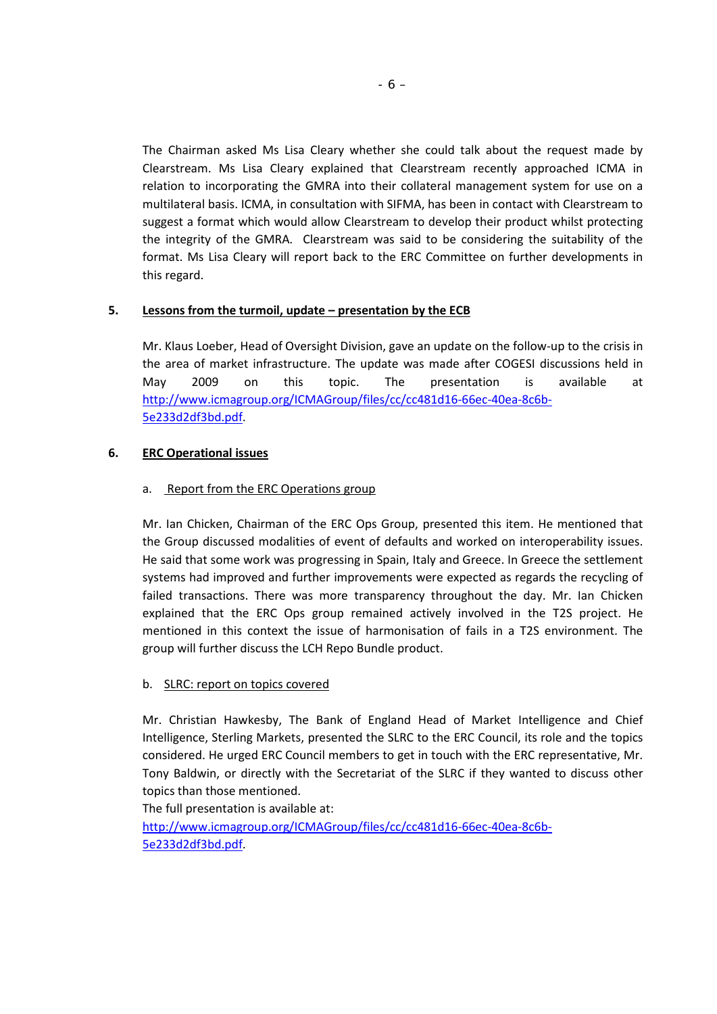The Chairman asked Ms Lisa Cleary whether she could talk about the request made by Clearstream. Ms Lisa Cleary explained that Clearstream recently approached ICMA in relation to incorporating the GMRA into their collateral management system for use on a multilateral basis. ICMA, in consultation with SIFMA, has been in contact with Clearstream to suggest a format which would allow Clearstream to develop their product whilst protecting the integrity of the GMRA. Clearstream was said to be considering the suitability of the format. Ms Lisa Cleary will report back to the ERC Committee on further developments in this regard.

## **5. Lessons from the turmoil, update – presentation by the ECB**

Mr. Klaus Loeber, Head of Oversight Division, gave an update on the follow-up to the crisis in the area of market infrastructure. The update was made after COGESI discussions held in May 2009 on this topic. The presentation is available at [http://www.icmagroup.org/ICMAGroup/files/cc/cc481d16-66ec-40ea-8c6b-](http://www.icmagroup.org/ICMAGroup/files/cc/cc481d16-66ec-40ea-8c6b-5e233d2df3bd.pdf)[5e233d2df3bd.pdf.](http://www.icmagroup.org/ICMAGroup/files/cc/cc481d16-66ec-40ea-8c6b-5e233d2df3bd.pdf)

## **6. ERC Operational issues**

### a. Report from the ERC Operations group

Mr. Ian Chicken, Chairman of the ERC Ops Group, presented this item. He mentioned that the Group discussed modalities of event of defaults and worked on interoperability issues. He said that some work was progressing in Spain, Italy and Greece. In Greece the settlement systems had improved and further improvements were expected as regards the recycling of failed transactions. There was more transparency throughout the day. Mr. Ian Chicken explained that the ERC Ops group remained actively involved in the T2S project. He mentioned in this context the issue of harmonisation of fails in a T2S environment. The group will further discuss the LCH Repo Bundle product.

### b. SLRC: report on topics covered

Mr. Christian Hawkesby, The Bank of England Head of Market Intelligence and Chief Intelligence, Sterling Markets, presented the SLRC to the ERC Council, its role and the topics considered. He urged ERC Council members to get in touch with the ERC representative, Mr. Tony Baldwin, or directly with the Secretariat of the SLRC if they wanted to discuss other topics than those mentioned.

The full presentation is available at:

[http://www.icmagroup.org/ICMAGroup/files/cc/cc481d16-66ec-40ea-8c6b-](http://www.icmagroup.org/ICMAGroup/files/cc/cc481d16-66ec-40ea-8c6b-5e233d2df3bd.pdf)[5e233d2df3bd.pdf.](http://www.icmagroup.org/ICMAGroup/files/cc/cc481d16-66ec-40ea-8c6b-5e233d2df3bd.pdf)